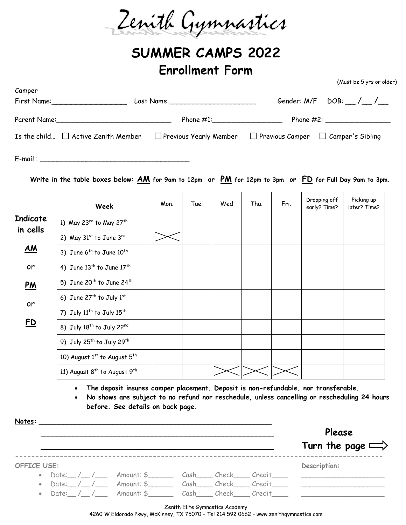Zenith Gymnastics

## **SUMMER CAMPS 2022 Enrollment Form**

er)

|                              |                                                                                                                                                                                                                                        |      |      |     | Gender: $M/F$ DOB: $\_\_\_\_\_\_\_\_\_\_$                                                                                                                           |      |                              |                            |
|------------------------------|----------------------------------------------------------------------------------------------------------------------------------------------------------------------------------------------------------------------------------------|------|------|-----|---------------------------------------------------------------------------------------------------------------------------------------------------------------------|------|------------------------------|----------------------------|
|                              |                                                                                                                                                                                                                                        |      |      |     | Parent Name: Phone #1: Phone #1: Phone #2:<br>Is the child $\Box$ Active Zenith Member $\Box$ Previous Yearly Member $\Box$ Previous Camper $\Box$ Camper's Sibling |      |                              |                            |
|                              |                                                                                                                                                                                                                                        |      |      |     |                                                                                                                                                                     |      |                              |                            |
|                              | Write in the table boxes below: $AM$ for 9am to 12pm or $PM$ for 12pm to 3pm or $FD$ for Full Day 9am to 3pm.                                                                                                                          |      |      |     |                                                                                                                                                                     |      |                              |                            |
|                              | Week                                                                                                                                                                                                                                   | Mon. | Tue. | Wed | Thu.                                                                                                                                                                | Fri. | Dropping off<br>early? Time? | Picking up<br>later? Time? |
| <b>Indicate</b>              | 1) May 23rd to May 27th                                                                                                                                                                                                                |      |      |     |                                                                                                                                                                     |      |                              |                            |
| in cells                     | 2) May 31st to June 3rd                                                                                                                                                                                                                |      |      |     |                                                                                                                                                                     |      |                              |                            |
| AM                           | 3) June 6 <sup>th</sup> to June 10 <sup>th</sup>                                                                                                                                                                                       |      |      |     |                                                                                                                                                                     |      |                              |                            |
| or                           | 4) June $13^{th}$ to June $17^{th}$                                                                                                                                                                                                    |      |      |     |                                                                                                                                                                     |      |                              |                            |
| <u>PM</u><br>or<br><u>FD</u> | 5) June 20 <sup>th</sup> to June 24 <sup>th</sup>                                                                                                                                                                                      |      |      |     |                                                                                                                                                                     |      |                              |                            |
|                              | 6) June 27 <sup>th</sup> to July 1st                                                                                                                                                                                                   |      |      |     |                                                                                                                                                                     |      |                              |                            |
|                              | 7) July 11 <sup>th</sup> to July 15 <sup>th</sup>                                                                                                                                                                                      |      |      |     |                                                                                                                                                                     |      |                              |                            |
|                              | 8) July 18 <sup>th</sup> to July 22 <sup>nd</sup>                                                                                                                                                                                      |      |      |     |                                                                                                                                                                     |      |                              |                            |
|                              | 9) July 25 <sup>th</sup> to July 29 <sup>th</sup>                                                                                                                                                                                      |      |      |     |                                                                                                                                                                     |      |                              |                            |
|                              | 10) August 1st to August 5th                                                                                                                                                                                                           |      |      |     |                                                                                                                                                                     |      |                              |                            |
|                              | 11) August 8 <sup>th</sup> to August 9 <sup>th</sup>                                                                                                                                                                                   |      |      |     |                                                                                                                                                                     |      |                              |                            |
|                              | • The deposit insures camper placement. Deposit is non-refundable, nor transferable.<br>No shows are subject to no refund nor reschedule, unless cancelling or rescheduling 24 hours<br>$\bullet$<br>before. See details on back page. |      |      |     |                                                                                                                                                                     |      |                              |                            |

|             |                                                                                    |                                                                                        |                                 |  | Please<br>Turn the page $\implies$ |
|-------------|------------------------------------------------------------------------------------|----------------------------------------------------------------------------------------|---------------------------------|--|------------------------------------|
| OFFICE USE: |                                                                                    | Description:                                                                           |                                 |  |                                    |
|             | • Date: $/$ / $/$ Amount: \$ $\qquad$ Cash $\qquad$ Check $\qquad$ Credit $\qquad$ |                                                                                        |                                 |  |                                    |
|             | • Date: / / Amount: \$ Cash Check Credit                                           |                                                                                        |                                 |  |                                    |
|             | • Date: / / Amount: \$ Cash Check Credit                                           |                                                                                        |                                 |  |                                    |
|             |                                                                                    | 4260 W Eldorado Pkwy, McKinney, TX 75070 - Tel 214 592 0662 - www.zenithgymnastics.com | Zenith Elite Gymnastics Academy |  |                                    |